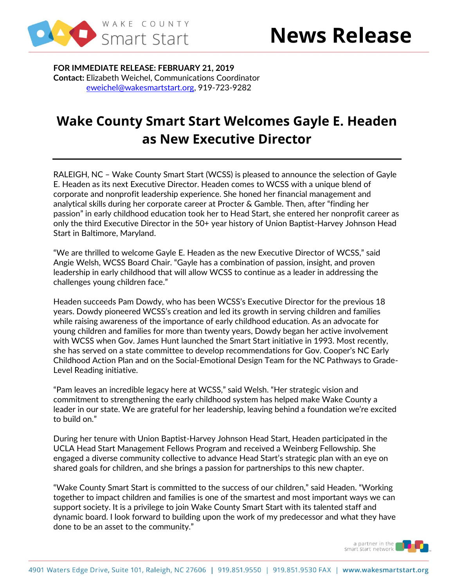

**FOR IMMEDIATE RELEASE: FEBRUARY 21, 2019 Contact:** Elizabeth Weichel, Communications Coordinator [eweichel@wakesmartstart.org,](mailto:eweichel@wakesmartstart.org) 919-723-9282

## **Wake County Smart Start Welcomes Gayle E. Headen as New Executive Director**

RALEIGH, NC – Wake County Smart Start (WCSS) is pleased to announce the selection of Gayle E. Headen as its next Executive Director. Headen comes to WCSS with a unique blend of corporate and nonprofit leadership experience. She honed her financial management and analytical skills during her corporate career at Procter & Gamble. Then, after "finding her passion" in early childhood education took her to Head Start, she entered her nonprofit career as only the third Executive Director in the 50+ year history of Union Baptist-Harvey Johnson Head Start in Baltimore, Maryland.

"We are thrilled to welcome Gayle E. Headen as the new Executive Director of WCSS," said Angie Welsh, WCSS Board Chair. "Gayle has a combination of passion, insight, and proven leadership in early childhood that will allow WCSS to continue as a leader in addressing the challenges young children face."

Headen succeeds Pam Dowdy, who has been WCSS's Executive Director for the previous 18 years. Dowdy pioneered WCSS's creation and led its growth in serving children and families while raising awareness of the importance of early childhood education. As an advocate for young children and families for more than twenty years, Dowdy began her active involvement with WCSS when Gov. James Hunt launched the Smart Start initiative in 1993. Most recently, she has served on a state committee to develop recommendations for Gov. Cooper's NC Early Childhood Action Plan and on the Social-Emotional Design Team for the NC Pathways to Grade-Level Reading initiative.

"Pam leaves an incredible legacy here at WCSS," said Welsh. "Her strategic vision and commitment to strengthening the early childhood system has helped make Wake County a leader in our state. We are grateful for her leadership, leaving behind a foundation we're excited to build on."

During her tenure with Union Baptist-Harvey Johnson Head Start, Headen participated in the UCLA Head Start Management Fellows Program and received a Weinberg Fellowship. She engaged a diverse community collective to advance Head Start's strategic plan with an eye on shared goals for children, and she brings a passion for partnerships to this new chapter.

"Wake County Smart Start is committed to the success of our children," said Headen. "Working together to impact children and families is one of the smartest and most important ways we can support society. It is a privilege to join Wake County Smart Start with its talented staff and dynamic board. I look forward to building upon the work of my predecessor and what they have done to be an asset to the community."